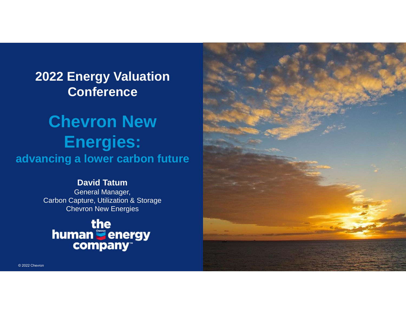## **2022 Energy Valuation Conference**

# **Chevron New Energies: advancing a lower carbon future**

#### **David Tatum**

General Manager, Carbon Capture, Utilization & Storage Chevron New Energies



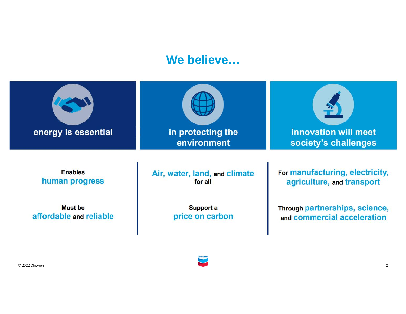### **We believe...**

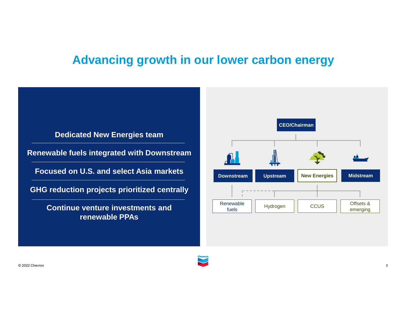## **Advancing growth in our lower carbon energy**

#### **Dedicated New Energies team**

**Renewable fuels integrated with Downstream**

**Focused on U.S. and select Asia markets**

**GHG reduction projects prioritized centrally**

**Continue venture investments and renewable PPAs**

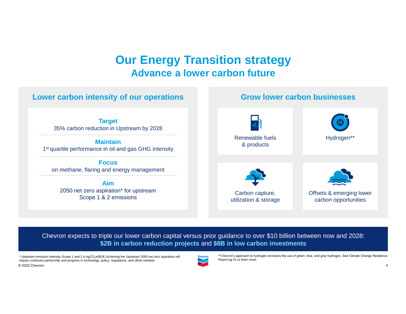### **Our Energy Transition strategy Advance a lower carbon future**



Chevron expects to triple our lower carbon capital versus prior guidance to over \$10 billion between now and 2028: **\$2B in carbon reduction projects** and **\$8B in low carbon investments**

\* Upstream emission intensity Scope 1 and 2 in kgCO<sub>2</sub>e/BOE.Achieving the Upstream 2050 net zero aspiration will<br>require continued partnership and progress in technology, policy, regulations, and offset markets.<br>© 2022 Che require continued partnership and progress in technology, policy, requiations, and offset markets.



\*\*Chevronís approach to hydrogen envisions the use of green, blue, and gray hydrogen. See Climate Change Resilience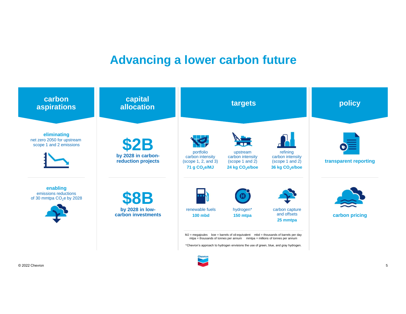### **Advancing a lower carbon future**

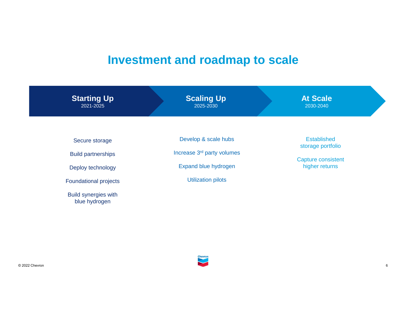## **Investment and roadmap to scale**

| <b>Starting Up</b><br>2021-2025              | <b>Scaling Up</b><br>2025-2030         | <b>At Scale</b><br>2030-2040                |
|----------------------------------------------|----------------------------------------|---------------------------------------------|
|                                              | Develop & scale hubs                   | Established                                 |
| Secure storage                               |                                        | storage portfolio                           |
| <b>Build partnerships</b>                    | Increase 3 <sup>rd</sup> party volumes |                                             |
| Deploy technology                            | Expand blue hydrogen                   | <b>Capture consistent</b><br>higher returns |
| <b>Foundational projects</b>                 | <b>Utilization pilots</b>              |                                             |
| <b>Build synergies with</b><br>blue hydrogen |                                        |                                             |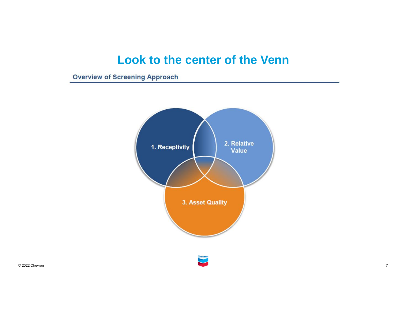## **Look to the center of the Venn**

**Overview of Screening Approach** 

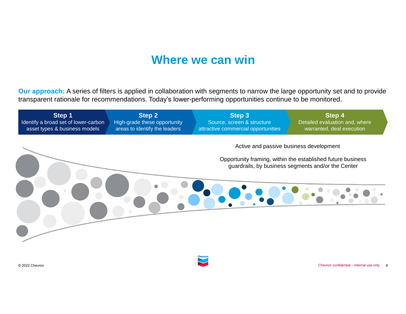### **Where we can win**

**Our approach:** A series of filters is applied in collaboration with segments to narrow the large opportunity set and to provide transparent rationale for recommendations. Todayís lower-performing opportunities continue to be monitored.

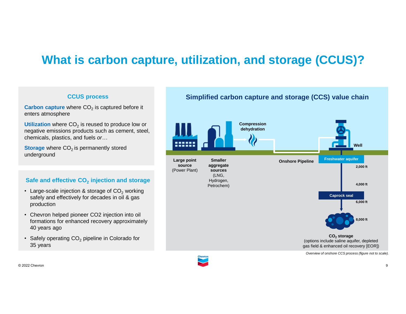## **What is carbon capture, utilization, and storage (CCUS)?**

#### **CCUS process**

**Carbon capture** where CO<sub>2</sub> is captured before it enters atmosphere

Utilization where CO<sub>2</sub> is reused to produce low or<br>negative emissions products such as cement, steel,<br>chemicals, plastics, and fuels *or*... negative emissions products such as cement, steel,

**Storage** where CO<sub>2</sub> is permanently stored underground

### **Safe and effective CO<sup>2</sup> injection and storage** ï

- Large-scale injection & storage of  $CO<sub>2</sub>$  working safely and effectively for decades in oil & gas production
- Chevron helped pioneer CO2 injection into oil formations for enhanced recovery approximately 40 years ago
- Safely operating CO<sub>2</sub> pipeline in Colorado for 35 years

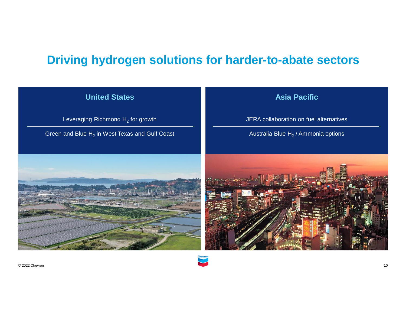## **Driving hydrogen solutions for harder-to-abate sectors**



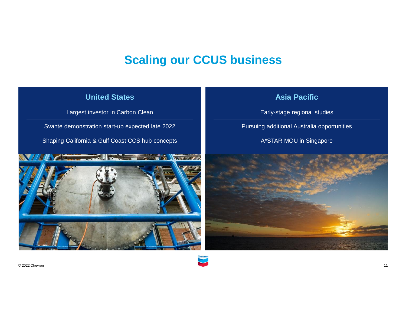## **Scaling our CCUS business**



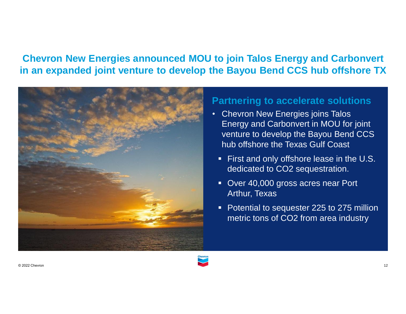### **Chevron New Energies announced MOU to join Talos Energy and Carbonvert in an expanded joint venture to develop the Bayou Bend CCS hub offshore TX**



### **Partnering to accelerate solutions**

- Chevron New Energies joins Talos Energy and Carbonvert in MOU for joint venture to develop the Bayou Bend CCS hub offshore the Texas Gulf Coast
- First and only offshore lease in the U.S. dedicated to CO2 sequestration.
- **Over 40,000 gross acres near Port** Arthur, Texas
- Potential to sequester 225 to 275 million metric tons of CO2 from area industry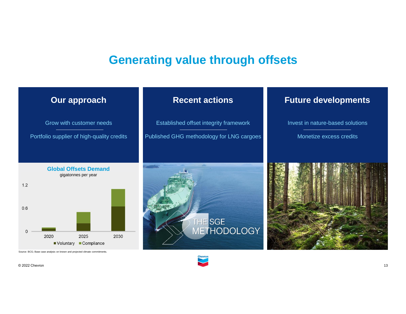### **Generating value through offsets**

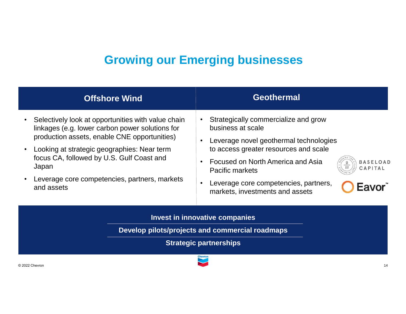## **Growing our Emerging businesses**

| <b>Offshore Wind</b>                                                                                                                                                                                                                                                                                                                   | <b>Geothermal</b>                                                                                                                                                                                                                                                                                                                     |  |  |
|----------------------------------------------------------------------------------------------------------------------------------------------------------------------------------------------------------------------------------------------------------------------------------------------------------------------------------------|---------------------------------------------------------------------------------------------------------------------------------------------------------------------------------------------------------------------------------------------------------------------------------------------------------------------------------------|--|--|
| Selectively look at opportunities with value chain<br>linkages (e.g. lower carbon power solutions for<br>production assets, enable CNE opportunities)<br>Looking at strategic geographies: Near term<br>$\bullet$<br>focus CA, followed by U.S. Gulf Coast and<br>Japan<br>Leverage core competencies, partners, markets<br>and assets | Strategically commercialize and grow<br>business at scale<br>Leverage novel geothermal technologies<br>to access greater resources and scale<br>Focused on North America and Asia<br><b>BASELOAD</b><br>CAPITAL<br><b>Pacific markets</b><br>Leverage core competencies, partners,<br><b>Eavor</b><br>markets, investments and assets |  |  |
| Invest in innovative companies                                                                                                                                                                                                                                                                                                         |                                                                                                                                                                                                                                                                                                                                       |  |  |

**Develop pilots/projects and commercial roadmaps**

**Strategic partnerships**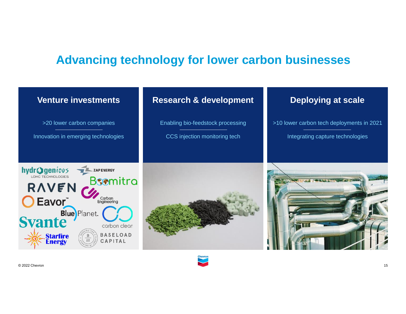## **Advancing technology for lower carbon businesses**

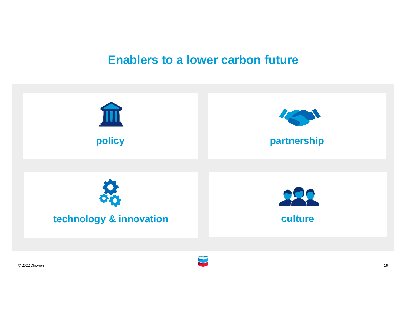### **Enablers to a lower carbon future**